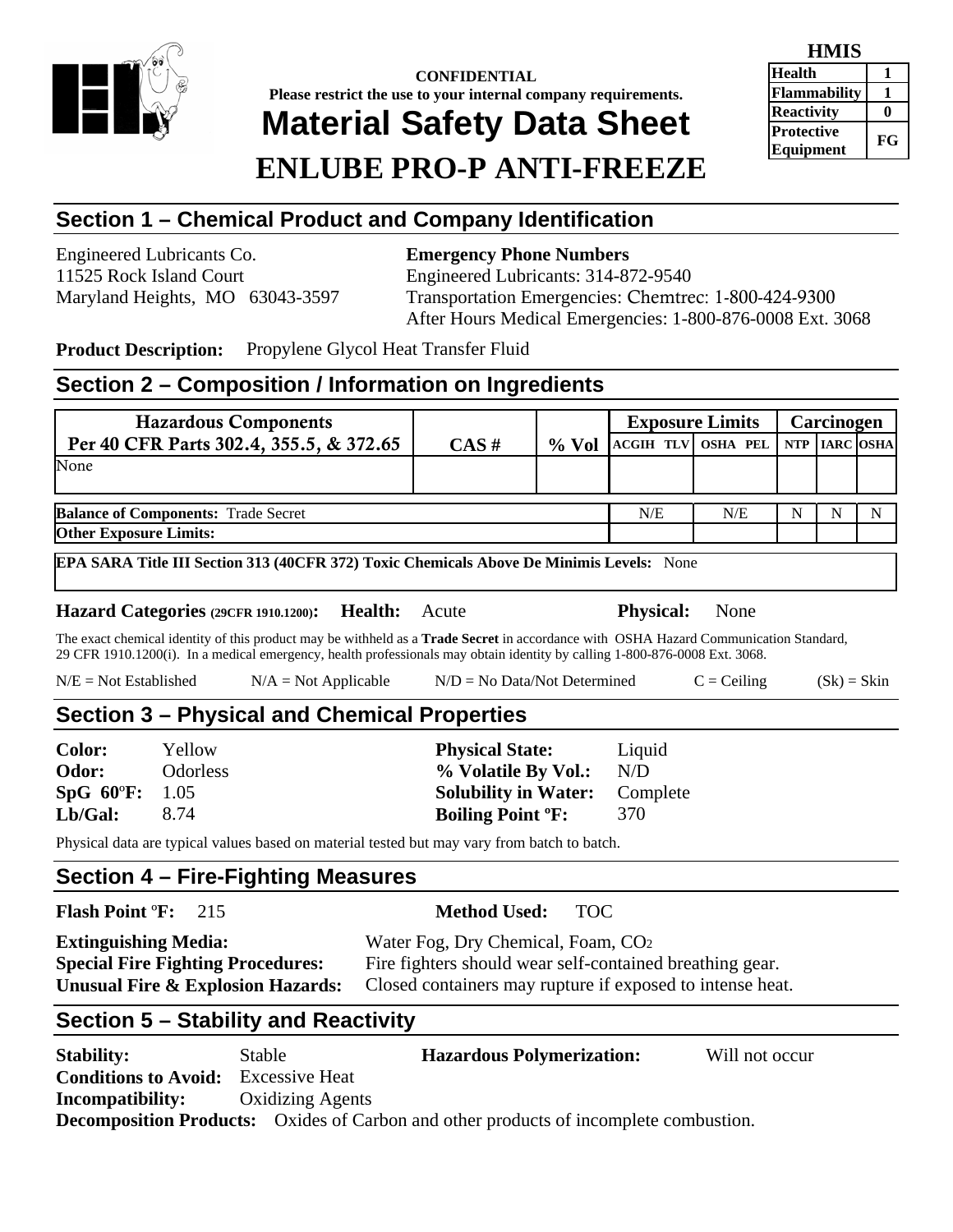

# **CONFIDENTIAL Please restrict the use to your internal company requirements. Material Safety Data Sheet ENLUBE PRO-P ANTI-FREEZE**

| <b>HMIS</b>                    |    |  |  |
|--------------------------------|----|--|--|
| <b>Health</b>                  |    |  |  |
| Flammability                   |    |  |  |
| <b>Reactivity</b>              |    |  |  |
| <b>Protective</b><br>Equipment | FG |  |  |

## **Section 1 – Chemical Product and Company Identification**

Engineered Lubricants Co. **Emergency Phone Numbers**  11525 Rock Island Court Engineered Lubricants: 314-872-9540

Maryland Heights, MO 63043-3597 Transportation Emergencies: Chemtrec: 1-800-424-9300 After Hours Medical Emergencies: 1-800-876-0008 Ext. 3068

**Product Description:** Propylene Glycol Heat Transfer Fluid

#### **Section 2 – Composition / Information on Ingredients**

| <b>Hazardous Components</b>                |          |          |                                  | <b>Exposure Limits</b> | Carcinogen |   |
|--------------------------------------------|----------|----------|----------------------------------|------------------------|------------|---|
| Per 40 CFR Parts 302.4, 355.5, & 372.65    | $CAS \#$ | $\%$ Vol | ACGIH TLV OSHA PEL NTP IARC OSHA |                        |            |   |
| None                                       |          |          |                                  |                        |            |   |
| <b>Balance of Components: Trade Secret</b> |          |          | N/E                              | N/E                    |            | N |
| <b>Other Exposure Limits:</b>              |          |          |                                  |                        |            |   |

**EPA SARA Title III Section 313 (40CFR 372) Toxic Chemicals Above De Minimis Levels:** None

**Hazard Categories (29CFR 1910.1200): Health:** Acute **Physical:** None

The exact chemical identity of this product may be withheld as a **Trade Secret** in accordance with OSHA Hazard Communication Standard, 29 CFR 1910.1200(i). In a medical emergency, health professionals may obtain identity by calling 1-800-876-0008 Ext. 3068.

| $N/E = Not Established$ | $N/A = Not Applicable$ | $N/D = No Data/Not Determine$ | $C = Ceiling$ | $(Sk) = Skin$ |
|-------------------------|------------------------|-------------------------------|---------------|---------------|
|-------------------------|------------------------|-------------------------------|---------------|---------------|

# **Section 3 – Physical and Chemical Properties**

| Yellow                  | <b>Physical State:</b>               | Liquid |
|-------------------------|--------------------------------------|--------|
| <b>Odorless</b>         | % Volatile By Vol.:                  | N/D    |
| $SpG 60^{\circ}F: 1.05$ | <b>Solubility in Water:</b> Complete |        |
| 8.74                    | <b>Boiling Point <sup>o</sup>F:</b>  | 370    |
|                         |                                      |        |

Physical data are typical values based on material tested but may vary from batch to batch.

#### **Section 4 – Fire-Fighting Measures**

#### **Flash Point** º**F:** 215 **Method Used:** TOC

| <b>Extinguishing Media:</b>                  | Water Fog, Dry Chemical, Foam, CO <sub>2</sub>            |
|----------------------------------------------|-----------------------------------------------------------|
| <b>Special Fire Fighting Procedures:</b>     | Fire fighters should wear self-contained breathing gear.  |
| <b>Unusual Fire &amp; Explosion Hazards:</b> | Closed containers may rupture if exposed to intense heat. |

### **Section 5 – Stability and Reactivity**

| <b>Stability:</b>                          | Stable                  | <b>Hazardous Polymerization:</b>                                                             | Will not occur |
|--------------------------------------------|-------------------------|----------------------------------------------------------------------------------------------|----------------|
| <b>Conditions to Avoid:</b> Excessive Heat |                         |                                                                                              |                |
| <b>Incompatibility:</b>                    | <b>Oxidizing Agents</b> |                                                                                              |                |
|                                            |                         | <b>Decomposition Products:</b> Oxides of Carbon and other products of incomplete combustion. |                |